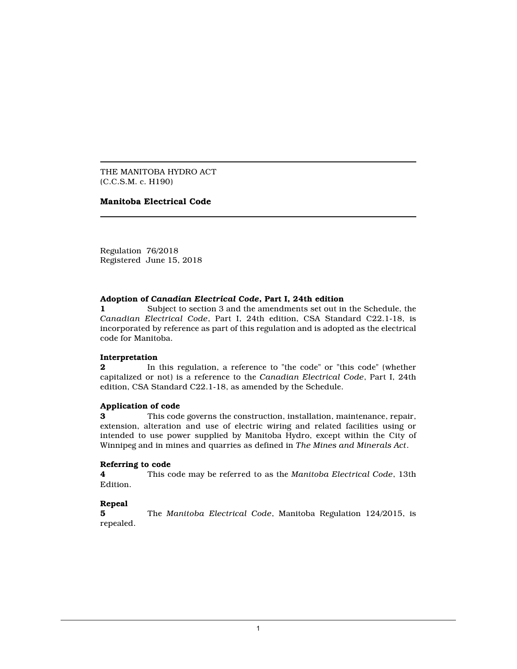THE MANITOBA HYDRO ACT (C.C.S.M. c. H190)

## **Manitoba Electrical Code**

Regulation 76/2018 Registered June 15, 2018

#### **Adoption of** *Canadian Electrical Code***, Part I, 24th edition**

**1** Subject to section 3 and the amendments set out in the Schedule, the *Canadian Electrical Code*, Part I, 24th edition, CSA Standard C22.1-18, is incorporated by reference as part of this regulation and is adopted as the electrical code for Manitoba.

#### **Interpretation**

**2** In this regulation, a reference to "the code" or "this code" (whether capitalized or not) is a reference to the *Canadian Electrical Code*, Part I, 24th edition, CSA Standard C22.1-18, as amended by the Schedule.

## **Application of code**

**3** This code governs the construction, installation, maintenance, repair, extension, alteration and use of electric wiring and related facilities using or intended to use power supplied by Manitoba Hydro, except within the City of Winnipeg and in mines and quarries as defined in *The Mines and Minerals Act*.

## **Referring to code**

**4** This code may be referred to as the *Manitoba Electrical Code*, 13th Edition.

## **Repeal**

**5** The *Manitoba Electrical Code*, Manitoba Regulation 124/2015, is repealed.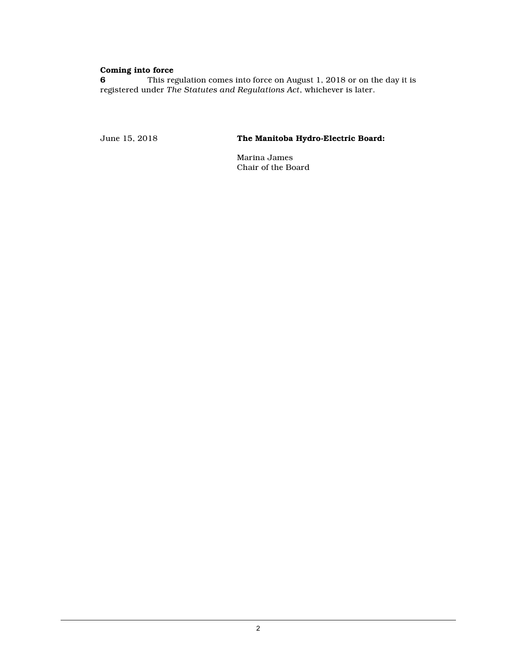## **Coming into force**

**6** This regulation comes into force on August 1, 2018 or on the day it is registered under *The Statutes and Regulations Act*, whichever is later.

June 15, 2018 **The Manitoba Hydro-Electric Board:**

Marina James Chair of the Board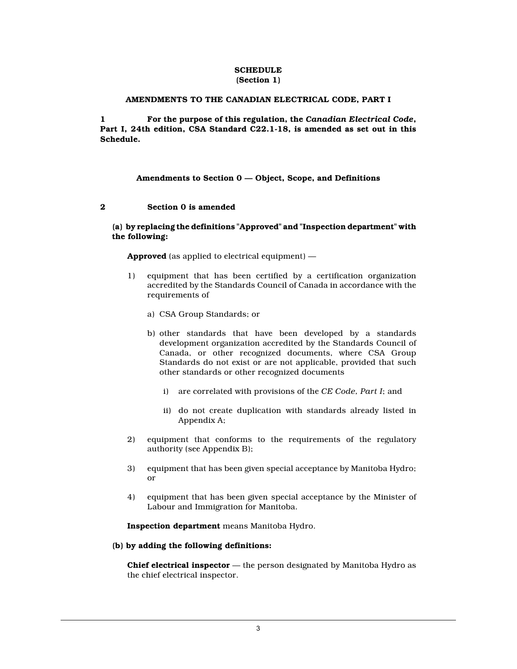#### **SCHEDULE (Section 1)**

### **AMENDMENTS TO THE CANADIAN ELECTRICAL CODE, PART I**

**1 For the purpose of this regulation, the** *Canadian Electrical Code***, Part I, 24th edition, CSA Standard C22.1-18, is amended as set out in this Schedule.**

## **Amendments to Section 0 — Object, Scope, and Definitions**

#### **2 Section 0 is amended**

### **(a) by replacing the definitions "Approved" and "Inspection department" with the following:**

**Approved** (as applied to electrical equipment) —

- 1) equipment that has been certified by a certification organization accredited by the Standards Council of Canada in accordance with the requirements of
	- a) CSA Group Standards; or
	- b) other standards that have been developed by a standards development organization accredited by the Standards Council of Canada, or other recognized documents, where CSA Group Standards do not exist or are not applicable, provided that such other standards or other recognized documents
		- i) are correlated with provisions of the *CE Code, Part I*; and
		- ii) do not create duplication with standards already listed in Appendix A;
- 2) equipment that conforms to the requirements of the regulatory authority (see Appendix B);
- 3) equipment that has been given special acceptance by Manitoba Hydro; or
- 4) equipment that has been given special acceptance by the Minister of Labour and Immigration for Manitoba.

**Inspection department** means Manitoba Hydro.

#### **(b) by adding the following definitions:**

**Chief electrical inspector** — the person designated by Manitoba Hydro as the chief electrical inspector.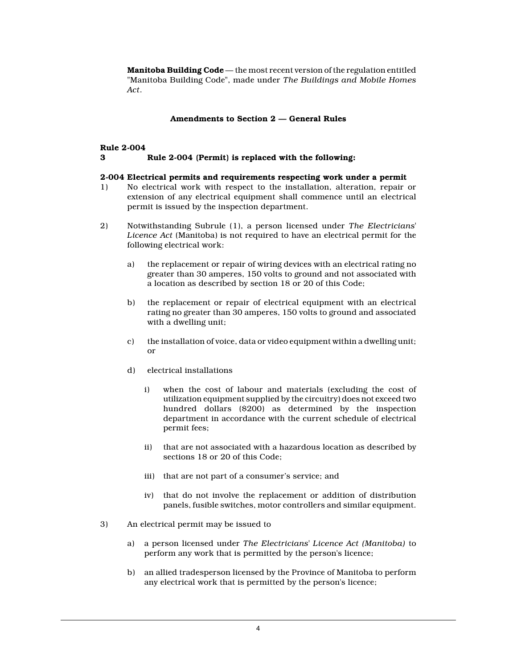**Manitoba Building Code** — the most recent version of the regulation entitled "Manitoba Building Code", made under *The Buildings and Mobile Homes Act*.

## **Amendments to Section 2 — General Rules**

# **Rule 2-004 3 Rule 2-004 (Permit) is replaced with the following:**

## **2-004 Electrical permits and requirements respecting work under a permit**

- 1) No electrical work with respect to the installation, alteration, repair or extension of any electrical equipment shall commence until an electrical permit is issued by the inspection department.
- 2) Notwithstanding Subrule (1), a person licensed under *The Electricians' Licence Act* (Manitoba) is not required to have an electrical permit for the following electrical work:
	- a) the replacement or repair of wiring devices with an electrical rating no greater than 30 amperes, 150 volts to ground and not associated with a location as described by section 18 or 20 of this Code;
	- b) the replacement or repair of electrical equipment with an electrical rating no greater than 30 amperes, 150 volts to ground and associated with a dwelling unit;
	- c) the installation of voice, data or video equipment within a dwelling unit; or
	- d) electrical installations
		- i) when the cost of labour and materials (excluding the cost of utilization equipment supplied by the circuitry) does not exceed two hundred dollars (\$200) as determined by the inspection department in accordance with the current schedule of electrical permit fees;
		- ii) that are not associated with a hazardous location as described by sections 18 or 20 of this Code;
		- iii) that are not part of a consumer's service; and
		- iv) that do not involve the replacement or addition of distribution panels, fusible switches, motor controllers and similar equipment.
- 3) An electrical permit may be issued to
	- a) a person licensed under *The Electricians' Licence Act (Manitoba)* to perform any work that is permitted by the person's licence;
	- b) an allied tradesperson licensed by the Province of Manitoba to perform any electrical work that is permitted by the person's licence;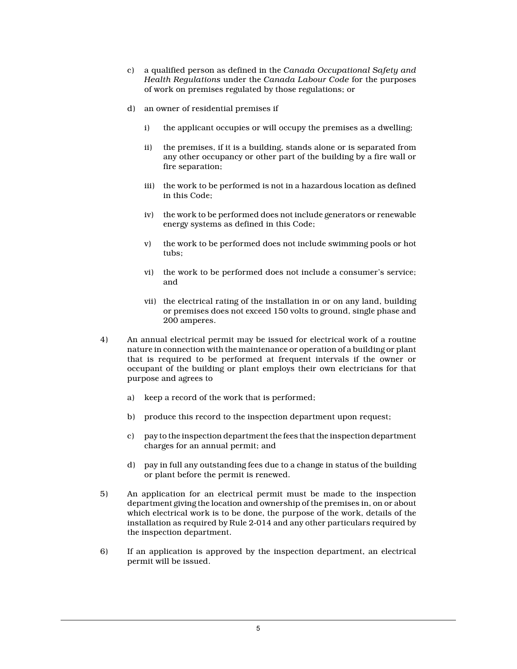- c) a qualified person as defined in the *Canada Occupational Safety and Health Regulations* under the *Canada Labour Code* for the purposes of work on premises regulated by those regulations; or
- d) an owner of residential premises if
	- i) the applicant occupies or will occupy the premises as a dwelling;
	- ii) the premises, if it is a building, stands alone or is separated from any other occupancy or other part of the building by a fire wall or fire separation;
	- iii) the work to be performed is not in a hazardous location as defined in this Code;
	- iv) the work to be performed does not include generators or renewable energy systems as defined in this Code;
	- v) the work to be performed does not include swimming pools or hot tubs;
	- vi) the work to be performed does not include a consumer's service; and
	- vii) the electrical rating of the installation in or on any land, building or premises does not exceed 150 volts to ground, single phase and 200 amperes.
- 4) An annual electrical permit may be issued for electrical work of a routine nature in connection with the maintenance or operation of a building or plant that is required to be performed at frequent intervals if the owner or occupant of the building or plant employs their own electricians for that purpose and agrees to
	- a) keep a record of the work that is performed;
	- b) produce this record to the inspection department upon request;
	- c) pay to the inspection department the fees that the inspection department charges for an annual permit; and
	- d) pay in full any outstanding fees due to a change in status of the building or plant before the permit is renewed.
- 5) An application for an electrical permit must be made to the inspection department giving the location and ownership of the premises in, on or about which electrical work is to be done, the purpose of the work, details of the installation as required by Rule 2-014 and any other particulars required by the inspection department.
- 6) If an application is approved by the inspection department, an electrical permit will be issued.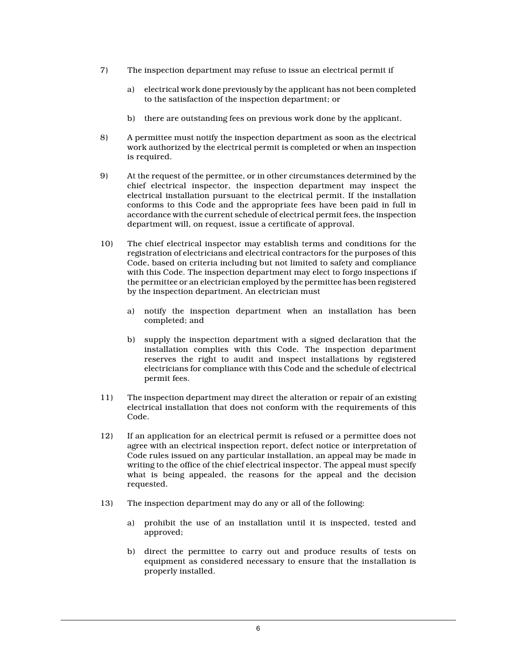- 7) The inspection department may refuse to issue an electrical permit if
	- a) electrical work done previously by the applicant has not been completed to the satisfaction of the inspection department; or
	- b) there are outstanding fees on previous work done by the applicant.
- 8) A permittee must notify the inspection department as soon as the electrical work authorized by the electrical permit is completed or when an inspection is required.
- 9) At the request of the permittee, or in other circumstances determined by the chief electrical inspector, the inspection department may inspect the electrical installation pursuant to the electrical permit. If the installation conforms to this Code and the appropriate fees have been paid in full in accordance with the current schedule of electrical permit fees, the inspection department will, on request, issue a certificate of approval.
- 10) The chief electrical inspector may establish terms and conditions for the registration of electricians and electrical contractors for the purposes of this Code, based on criteria including but not limited to safety and compliance with this Code. The inspection department may elect to forgo inspections if the permittee or an electrician employed by the permittee has been registered by the inspection department. An electrician must
	- a) notify the inspection department when an installation has been completed; and
	- b) supply the inspection department with a signed declaration that the installation complies with this Code. The inspection department reserves the right to audit and inspect installations by registered electricians for compliance with this Code and the schedule of electrical permit fees.
- 11) The inspection department may direct the alteration or repair of an existing electrical installation that does not conform with the requirements of this Code.
- 12) If an application for an electrical permit is refused or a permittee does not agree with an electrical inspection report, defect notice or interpretation of Code rules issued on any particular installation, an appeal may be made in writing to the office of the chief electrical inspector. The appeal must specify what is being appealed, the reasons for the appeal and the decision requested.
- 13) The inspection department may do any or all of the following:
	- a) prohibit the use of an installation until it is inspected, tested and approved;
	- b) direct the permittee to carry out and produce results of tests on equipment as considered necessary to ensure that the installation is properly installed.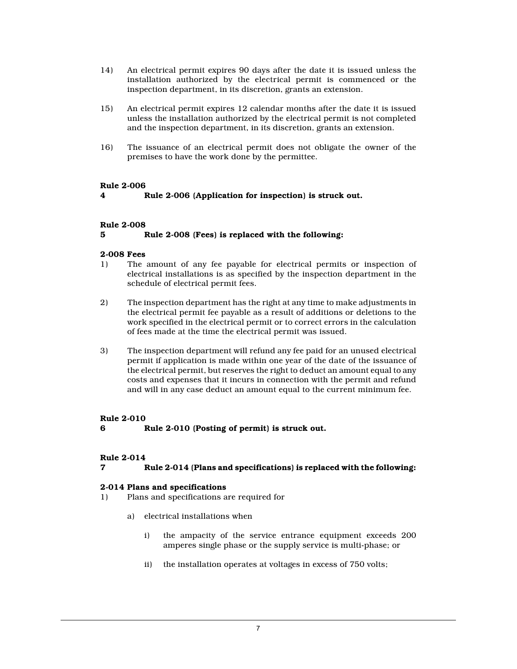- 14) An electrical permit expires 90 days after the date it is issued unless the installation authorized by the electrical permit is commenced or the inspection department, in its discretion, grants an extension.
- 15) An electrical permit expires 12 calendar months after the date it is issued unless the installation authorized by the electrical permit is not completed and the inspection department, in its discretion, grants an extension.
- 16) The issuance of an electrical permit does not obligate the owner of the premises to have the work done by the permittee.

## **Rule 2-006**

**4 Rule 2-006 (Application for inspection) is struck out.**

## **Rule 2-008**

# **5 Rule 2-008 (Fees) is replaced with the following:**

## **2-008 Fees**

- 1) The amount of any fee payable for electrical permits or inspection of electrical installations is as specified by the inspection department in the schedule of electrical permit fees.
- 2) The inspection department has the right at any time to make adjustments in the electrical permit fee payable as a result of additions or deletions to the work specified in the electrical permit or to correct errors in the calculation of fees made at the time the electrical permit was issued.
- 3) The inspection department will refund any fee paid for an unused electrical permit if application is made within one year of the date of the issuance of the electrical permit, but reserves the right to deduct an amount equal to any costs and expenses that it incurs in connection with the permit and refund and will in any case deduct an amount equal to the current minimum fee.

# **Rule 2-010**

**6 Rule 2-010 (Posting of permit) is struck out.**

## **Rule 2-014**

## **7 Rule 2-014 (Plans and specifications) is replaced with the following:**

## **2-014 Plans and specifications**

- 1) Plans and specifications are required for
	- a) electrical installations when
		- i) the ampacity of the service entrance equipment exceeds 200 amperes single phase or the supply service is multi-phase; or
		- ii) the installation operates at voltages in excess of 750 volts;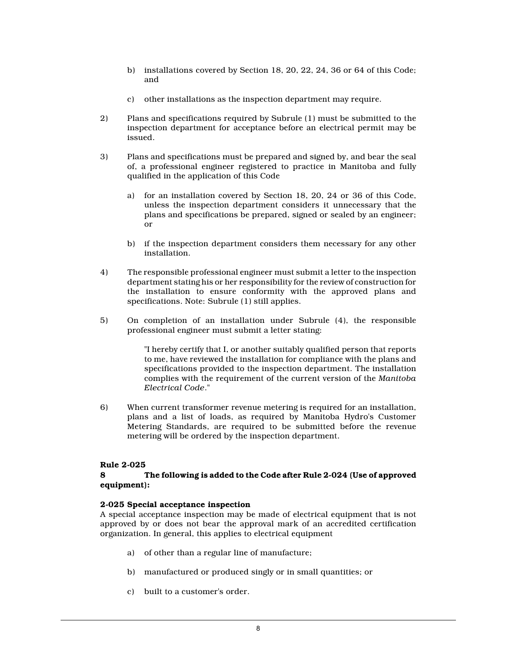- b) installations covered by Section 18, 20, 22, 24, 36 or 64 of this Code; and
- c) other installations as the inspection department may require.
- 2) Plans and specifications required by Subrule (1) must be submitted to the inspection department for acceptance before an electrical permit may be issued.
- 3) Plans and specifications must be prepared and signed by, and bear the seal of, a professional engineer registered to practice in Manitoba and fully qualified in the application of this Code
	- a) for an installation covered by Section 18, 20, 24 or 36 of this Code, unless the inspection department considers it unnecessary that the plans and specifications be prepared, signed or sealed by an engineer; or
	- b) if the inspection department considers them necessary for any other installation.
- 4) The responsible professional engineer must submit a letter to the inspection department stating his or her responsibility for the review of construction for the installation to ensure conformity with the approved plans and specifications. Note: Subrule (1) still applies.
- 5) On completion of an installation under Subrule (4), the responsible professional engineer must submit a letter stating:

"I hereby certify that I, or another suitably qualified person that reports to me, have reviewed the installation for compliance with the plans and specifications provided to the inspection department. The installation complies with the requirement of the current version of the *Manitoba Electrical Code*."

6) When current transformer revenue metering is required for an installation, plans and a list of loads, as required by Manitoba Hydro's Customer Metering Standards, are required to be submitted before the revenue metering will be ordered by the inspection department.

## **Rule 2-025**

#### **8 The following is added to the Code after Rule 2-024 (Use of approved equipment):**

#### **2-025 Special acceptance inspection**

A special acceptance inspection may be made of electrical equipment that is not approved by or does not bear the approval mark of an accredited certification organization. In general, this applies to electrical equipment

- a) of other than a regular line of manufacture;
- b) manufactured or produced singly or in small quantities; or
- c) built to a customer's order.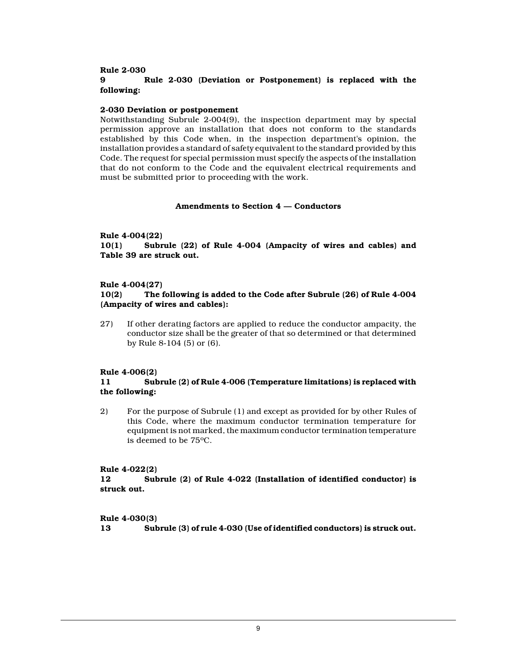#### **Rule 2-030**

# **9 Rule 2-030 (Deviation or Postponement) is replaced with the following:**

#### **2-030 Deviation or postponement**

Notwithstanding Subrule 2-004(9), the inspection department may by special permission approve an installation that does not conform to the standards established by this Code when, in the inspection department's opinion, the installation provides a standard of safety equivalent to the standard provided by this Code. The request for special permission must specify the aspects of the installation that do not conform to the Code and the equivalent electrical requirements and must be submitted prior to proceeding with the work.

# **Amendments to Section 4 — Conductors**

## **Rule 4-004(22)**

**10(1) Subrule (22) of Rule 4-004 (Ampacity of wires and cables) and Table 39 are struck out.**

#### **Rule 4-004(27)**

### **10(2) The following is added to the Code after Subrule (26) of Rule 4-004 (Ampacity of wires and cables):**

27) If other derating factors are applied to reduce the conductor ampacity, the conductor size shall be the greater of that so determined or that determined by Rule 8-104 (5) or (6).

## **Rule 4-006(2)**

## **11 Subrule (2) of Rule 4-006 (Temperature limitations) is replaced with the following:**

2) For the purpose of Subrule (1) and except as provided for by other Rules of this Code, where the maximum conductor termination temperature for equipment is not marked, the maximum conductor termination temperature is deemed to be 75ºC.

#### **Rule 4-022(2)**

**12 Subrule (2) of Rule 4-022 (Installation of identified conductor) is struck out.**

# **Rule 4-030(3) 13 Subrule (3) of rule 4-030 (Use of identified conductors) is struck out.**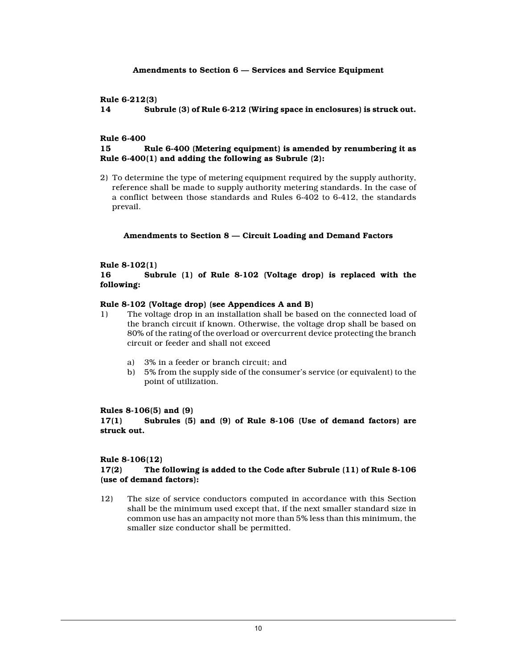#### **Amendments to Section 6 — Services and Service Equipment**

## **Rule 6-212(3)**

**14 Subrule (3) of Rule 6-212 (Wiring space in enclosures) is struck out.**

## **Rule 6-400**

## **15 Rule 6-400 (Metering equipment) is amended by renumbering it as Rule 6-400(1) and adding the following as Subrule (2):**

2) To determine the type of metering equipment required by the supply authority, reference shall be made to supply authority metering standards. In the case of a conflict between those standards and Rules 6-402 to 6-412, the standards prevail.

#### **Amendments to Section 8 — Circuit Loading and Demand Factors**

#### **Rule 8-102(1)**

**16 Subrule (1) of Rule 8-102 (Voltage drop) is replaced with the following:**

#### **Rule 8-102 (Voltage drop) (see Appendices A and B)**

- 1) The voltage drop in an installation shall be based on the connected load of the branch circuit if known. Otherwise, the voltage drop shall be based on 80% of the rating of the overload or overcurrent device protecting the branch circuit or feeder and shall not exceed
	- a) 3% in a feeder or branch circuit; and
	- b) 5% from the supply side of the consumer's service (or equivalent) to the point of utilization.

## **Rules 8-106(5) and (9)**

**17(1) Subrules (5) and (9) of Rule 8-106 (Use of demand factors) are struck out.**

#### **Rule 8-106(12)**

#### **17(2) The following is added to the Code after Subrule (11) of Rule 8-106 (use of demand factors):**

12) The size of service conductors computed in accordance with this Section shall be the minimum used except that, if the next smaller standard size in common use has an ampacity not more than 5% less than this minimum, the smaller size conductor shall be permitted.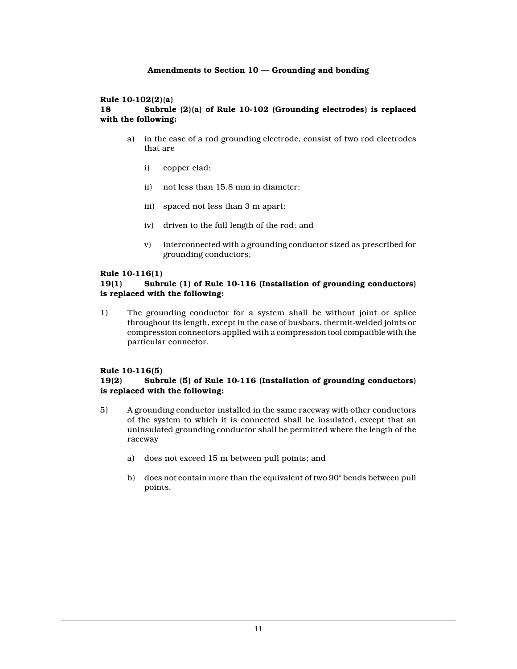# **Amendments to Section 10 — Grounding and bonding**

#### **Rule 10-102(2)(a)**

# **18 Subrule (2)(a) of Rule 10-102 (Grounding electrodes) is replaced with the following:**

- a) in the case of a rod grounding electrode, consist of two rod electrodes that are
	- i) copper clad;
	- ii) not less than 15.8 mm in diameter;
	- iii) spaced not less than 3 m apart;
	- iv) driven to the full length of the rod; and
	- v) interconnected with a grounding conductor sized as prescribed for grounding conductors;

#### **Rule 10-116(1)**

## **19(1) Subrule (1) of Rule 10-116 (Installation of grounding conductors) is replaced with the following:**

1) The grounding conductor for a system shall be without joint or splice throughout its length, except in the case of busbars, thermit-welded joints or compression connectors applied with a compression tool compatible with the particular connector.

## **Rule 10-116(5)**

## **19(2) Subrule (5) of Rule 10-116 (Installation of grounding conductors) is replaced with the following:**

- 5) A grounding conductor installed in the same raceway with other conductors of the system to which it is connected shall be insulated, except that an uninsulated grounding conductor shall be permitted where the length of the raceway
	- a) does not exceed 15 m between pull points; and
	- b) does not contain more than the equivalent of two 90° bends between pull points.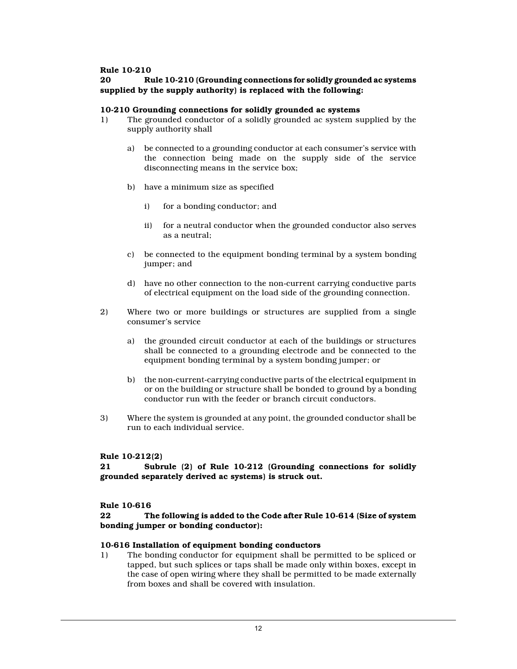#### **Rule 10-210**

## **20 Rule 10-210 (Grounding connections for solidly grounded ac systems supplied by the supply authority) is replaced with the following:**

#### **10-210 Grounding connections for solidly grounded ac systems**

- 1) The grounded conductor of a solidly grounded ac system supplied by the supply authority shall
	- a) be connected to a grounding conductor at each consumer's service with the connection being made on the supply side of the service disconnecting means in the service box;
	- b) have a minimum size as specified
		- i) for a bonding conductor; and
		- ii) for a neutral conductor when the grounded conductor also serves as a neutral;
	- c) be connected to the equipment bonding terminal by a system bonding jumper; and
	- d) have no other connection to the non-current carrying conductive parts of electrical equipment on the load side of the grounding connection.
- 2) Where two or more buildings or structures are supplied from a single consumer's service
	- a) the grounded circuit conductor at each of the buildings or structures shall be connected to a grounding electrode and be connected to the equipment bonding terminal by a system bonding jumper; or
	- b) the non-current-carrying conductive parts of the electrical equipment in or on the building or structure shall be bonded to ground by a bonding conductor run with the feeder or branch circuit conductors.
- 3) Where the system is grounded at any point, the grounded conductor shall be run to each individual service.

## **Rule 10-212(2)**

**21 Subrule (2) of Rule 10-212 (Grounding connections for solidly grounded separately derived ac systems) is struck out.**

#### **Rule 10-616**

## **22 The following is added to the Code after Rule 10-614 (Size of system bonding jumper or bonding conductor):**

#### **10-616 Installation of equipment bonding conductors**

1) The bonding conductor for equipment shall be permitted to be spliced or tapped, but such splices or taps shall be made only within boxes, except in the case of open wiring where they shall be permitted to be made externally from boxes and shall be covered with insulation.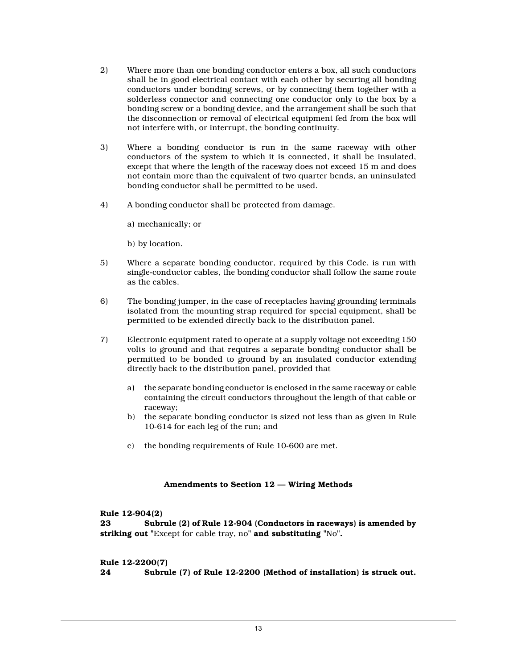- 2) Where more than one bonding conductor enters a box, all such conductors shall be in good electrical contact with each other by securing all bonding conductors under bonding screws, or by connecting them together with a solderless connector and connecting one conductor only to the box by a bonding screw or a bonding device, and the arrangement shall be such that the disconnection or removal of electrical equipment fed from the box will not interfere with, or interrupt, the bonding continuity.
- 3) Where a bonding conductor is run in the same raceway with other conductors of the system to which it is connected, it shall be insulated, except that where the length of the raceway does not exceed 15 m and does not contain more than the equivalent of two quarter bends, an uninsulated bonding conductor shall be permitted to be used.
- 4) A bonding conductor shall be protected from damage.
	- a) mechanically; or
	- b) by location.
- 5) Where a separate bonding conductor, required by this Code, is run with single-conductor cables, the bonding conductor shall follow the same route as the cables.
- 6) The bonding jumper, in the case of receptacles having grounding terminals isolated from the mounting strap required for special equipment, shall be permitted to be extended directly back to the distribution panel.
- 7) Electronic equipment rated to operate at a supply voltage not exceeding 150 volts to ground and that requires a separate bonding conductor shall be permitted to be bonded to ground by an insulated conductor extending directly back to the distribution panel, provided that
	- a) the separate bonding conductor is enclosed in the same raceway or cable containing the circuit conductors throughout the length of that cable or raceway;
	- b) the separate bonding conductor is sized not less than as given in Rule 10-614 for each leg of the run; and
	- c) the bonding requirements of Rule 10-600 are met.

## **Amendments to Section 12 — Wiring Methods**

**Rule 12-904(2)**

**23 Subrule (2) of Rule 12-904 (Conductors in raceways) is amended by striking out "**Except for cable tray, no**" and substituting "**No**".**

**Rule 12-2200(7)**

**24 Subrule (7) of Rule 12-2200 (Method of installation) is struck out.**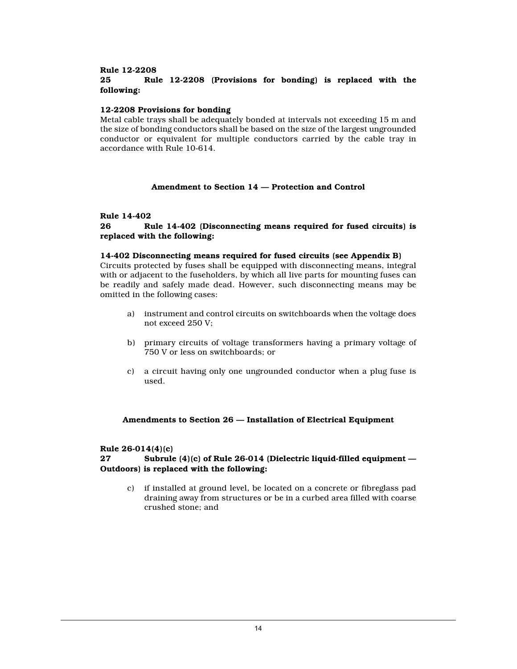### **Rule 12-2208**

# **25 Rule 12-2208 (Provisions for bonding) is replaced with the following:**

#### **12-2208 Provisions for bonding**

Metal cable trays shall be adequately bonded at intervals not exceeding 15 m and the size of bonding conductors shall be based on the size of the largest ungrounded conductor or equivalent for multiple conductors carried by the cable tray in accordance with Rule 10-614.

# **Amendment to Section 14 — Protection and Control**

#### **Rule 14-402**

## **26 Rule 14-402 (Disconnecting means required for fused circuits) is replaced with the following:**

#### **14-402 Disconnecting means required for fused circuits (see Appendix B)**

Circuits protected by fuses shall be equipped with disconnecting means, integral with or adjacent to the fuseholders, by which all live parts for mounting fuses can be readily and safely made dead. However, such disconnecting means may be omitted in the following cases:

- a) instrument and control circuits on switchboards when the voltage does not exceed 250 V;
- b) primary circuits of voltage transformers having a primary voltage of 750 V or less on switchboards; or
- c) a circuit having only one ungrounded conductor when a plug fuse is used.

#### **Amendments to Section 26 — Installation of Electrical Equipment**

# **Rule 26-014(4)(c)**

### **27 Subrule (4)(c) of Rule 26-014 (Dielectric liquid-filled equipment — Outdoors) is replaced with the following:**

c) if installed at ground level, be located on a concrete or fibreglass pad draining away from structures or be in a curbed area filled with coarse crushed stone; and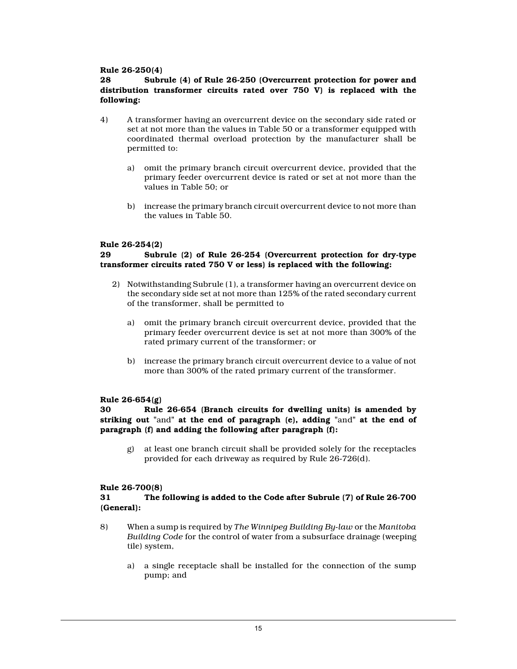## **Rule 26-250(4)**

**28 Subrule (4) of Rule 26-250 (Overcurrent protection for power and distribution transformer circuits rated over 750 V) is replaced with the following:**

- 4) A transformer having an overcurrent device on the secondary side rated or set at not more than the values in Table 50 or a transformer equipped with coordinated thermal overload protection by the manufacturer shall be permitted to:
	- a) omit the primary branch circuit overcurrent device, provided that the primary feeder overcurrent device is rated or set at not more than the values in Table 50; or
	- b) increase the primary branch circuit overcurrent device to not more than the values in Table 50.

## **Rule 26-254(2)**

## **29 Subrule (2) of Rule 26-254 (Overcurrent protection for dry-type transformer circuits rated 750 V or less) is replaced with the following:**

- 2) Notwithstanding Subrule (1), a transformer having an overcurrent device on the secondary side set at not more than 125% of the rated secondary current of the transformer, shall be permitted to
	- a) omit the primary branch circuit overcurrent device, provided that the primary feeder overcurrent device is set at not more than 300% of the rated primary current of the transformer; or
	- b) increase the primary branch circuit overcurrent device to a value of not more than 300% of the rated primary current of the transformer.

## **Rule 26-654(g)**

### **30 Rule 26-654 (Branch circuits for dwelling units) is amended by striking out "**and**" at the end of paragraph (e), adding "**and**" at the end of paragraph (f) and adding the following after paragraph (f):**

g) at least one branch circuit shall be provided solely for the receptacles provided for each driveway as required by Rule 26-726(d).

#### **Rule 26-700(8)**

## **31 The following is added to the Code after Subrule (7) of Rule 26-700 (General):**

- 8) When a sump is required by *The Winnipeg Building By-law* or the *Manitoba Building Code* for the control of water from a subsurface drainage (weeping tile) system,
	- a) a single receptacle shall be installed for the connection of the sump pump; and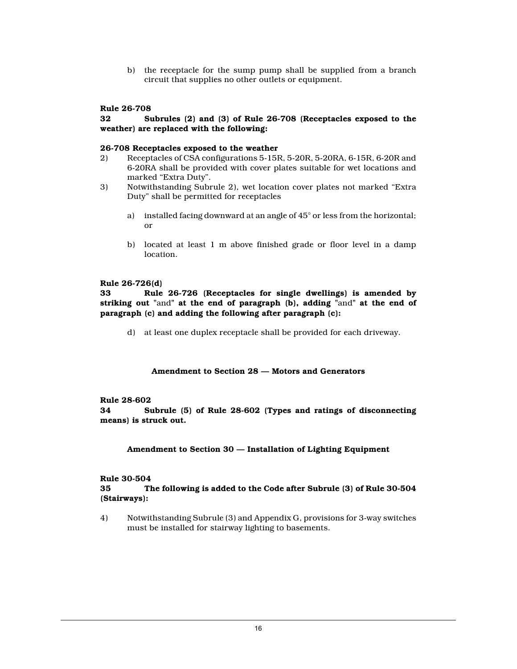b) the receptacle for the sump pump shall be supplied from a branch circuit that supplies no other outlets or equipment.

#### **Rule 26-708**

## **32 Subrules (2) and (3) of Rule 26-708 (Receptacles exposed to the weather) are replaced with the following:**

#### **26-708 Receptacles exposed to the weather**

- 2) Receptacles of CSA configurations 5-15R, 5-20R, 5-20RA, 6-15R, 6-20R and 6-20RA shall be provided with cover plates suitable for wet locations and marked "Extra Duty".
- 3) Notwithstanding Subrule 2), wet location cover plates not marked "Extra Duty" shall be permitted for receptacles
	- a) installed facing downward at an angle of 45° or less from the horizontal; or
	- b) located at least 1 m above finished grade or floor level in a damp location.

#### **Rule 26-726(d)**

**33 Rule 26-726 (Receptacles for single dwellings) is amended by striking out "**and**" at the end of paragraph (b), adding "**and**" at the end of paragraph (c) and adding the following after paragraph (c):**

d) at least one duplex receptacle shall be provided for each driveway.

#### **Amendment to Section 28 — Motors and Generators**

#### **Rule 28-602**

**34 Subrule (5) of Rule 28-602 (Types and ratings of disconnecting means) is struck out.**

#### **Amendment to Section 30 — Installation of Lighting Equipment**

# **Rule 30-504**

### **35 The following is added to the Code after Subrule (3) of Rule 30-504 (Stairways):**

4) Notwithstanding Subrule (3) and Appendix G, provisions for 3-way switches must be installed for stairway lighting to basements.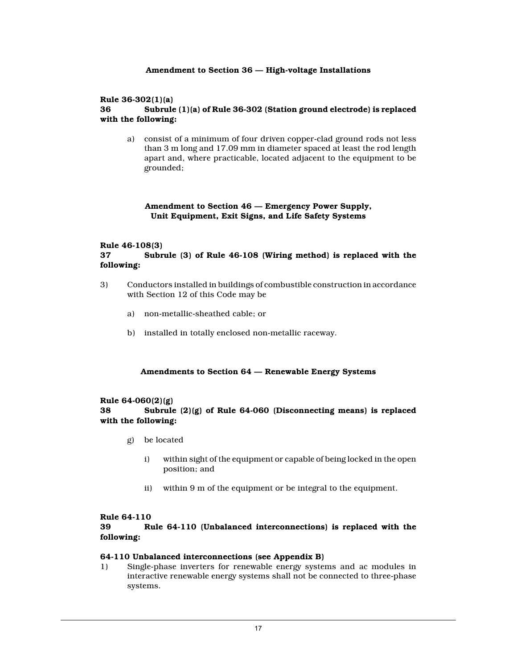## **Amendment to Section 36 — High-voltage Installations**

## **Rule 36-302(1)(a)**

# **36 Subrule (1)(a) of Rule 36-302 (Station ground electrode) is replaced with the following:**

a) consist of a minimum of four driven copper-clad ground rods not less than 3 m long and 17.09 mm in diameter spaced at least the rod length apart and, where practicable, located adjacent to the equipment to be grounded;

## **Amendment to Section 46 — Emergency Power Supply, Unit Equipment, Exit Signs, and Life Safety Systems**

# **Rule 46-108(3)**

# **37 Subrule (3) of Rule 46-108 (Wiring method) is replaced with the following:**

- 3) Conductors installed in buildings of combustible construction in accordance with Section 12 of this Code may be
	- a) non-metallic-sheathed cable; or
	- b) installed in totally enclosed non-metallic raceway.

## **Amendments to Section 64 — Renewable Energy Systems**

#### **Rule 64-060(2)(g)**

## **38 Subrule (2)(g) of Rule 64-060 (Disconnecting means) is replaced with the following:**

- g) be located
	- i) within sight of the equipment or capable of being locked in the open position; and
	- ii) within 9 m of the equipment or be integral to the equipment.

#### **Rule 64-110**

## **39 Rule 64-110 (Unbalanced interconnections) is replaced with the following:**

## **64-110 Unbalanced interconnections (see Appendix B)**

1) Single-phase inverters for renewable energy systems and ac modules in interactive renewable energy systems shall not be connected to three-phase systems.